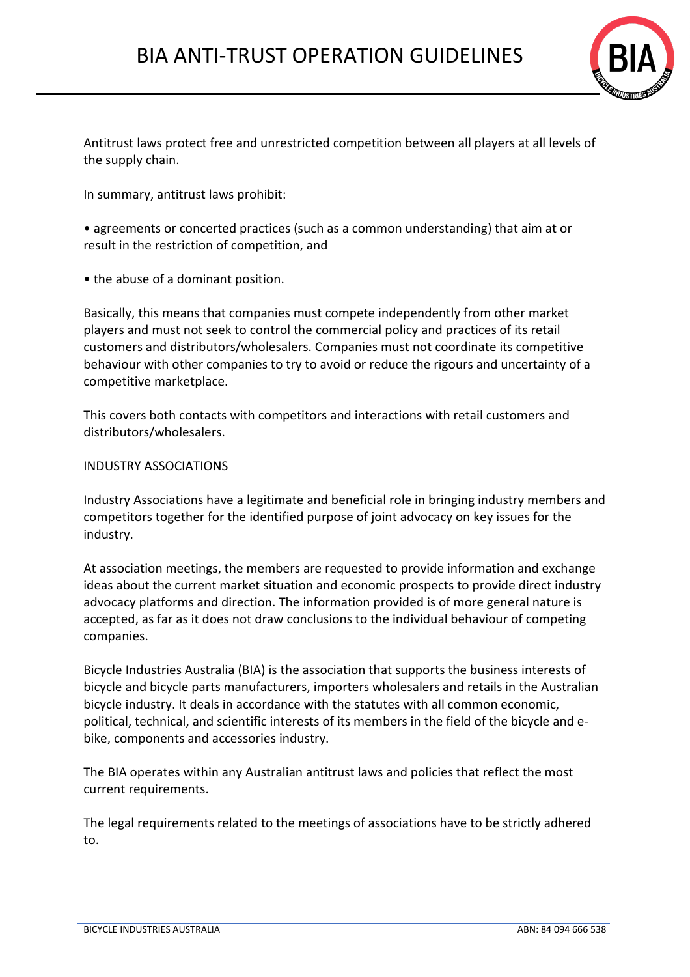

Antitrust laws protect free and unrestricted competition between all players at all levels of the supply chain.

In summary, antitrust laws prohibit:

• agreements or concerted practices (such as a common understanding) that aim at or result in the restriction of competition, and

• the abuse of a dominant position.

Basically, this means that companies must compete independently from other market players and must not seek to control the commercial policy and practices of its retail customers and distributors/wholesalers. Companies must not coordinate its competitive behaviour with other companies to try to avoid or reduce the rigours and uncertainty of a competitive marketplace.

This covers both contacts with competitors and interactions with retail customers and distributors/wholesalers.

INDUSTRY ASSOCIATIONS

Industry Associations have a legitimate and beneficial role in bringing industry members and competitors together for the identified purpose of joint advocacy on key issues for the industry.

At association meetings, the members are requested to provide information and exchange ideas about the current market situation and economic prospects to provide direct industry advocacy platforms and direction. The information provided is of more general nature is accepted, as far as it does not draw conclusions to the individual behaviour of competing companies.

Bicycle Industries Australia (BIA) is the association that supports the business interests of bicycle and bicycle parts manufacturers, importers wholesalers and retails in the Australian bicycle industry. It deals in accordance with the statutes with all common economic, political, technical, and scientific interests of its members in the field of the bicycle and ebike, components and accessories industry.

The BIA operates within any Australian antitrust laws and policies that reflect the most current requirements.

The legal requirements related to the meetings of associations have to be strictly adhered to.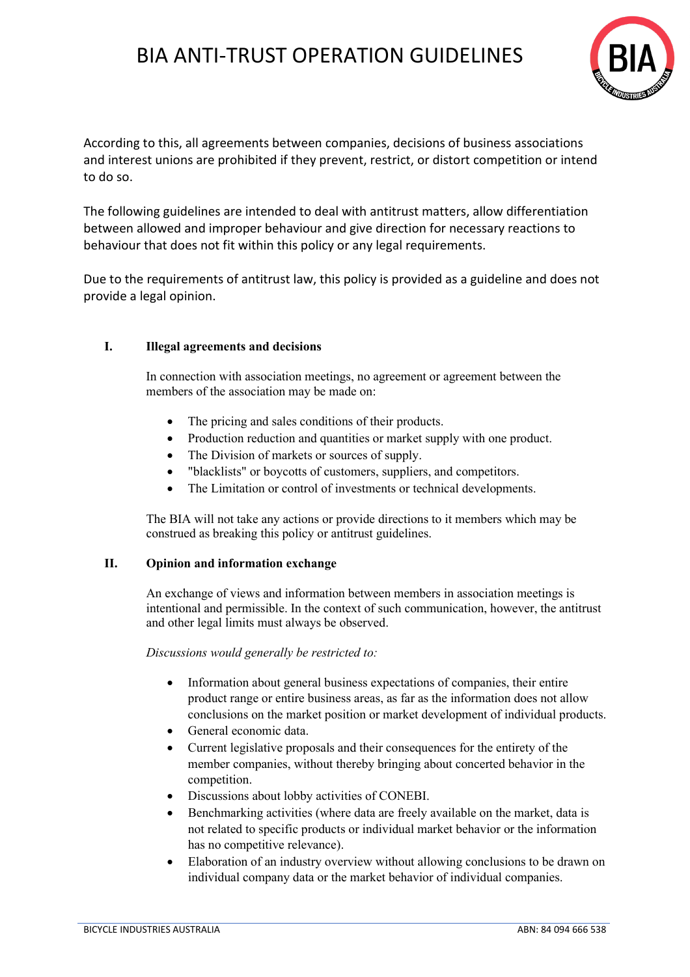

According to this, all agreements between companies, decisions of business associations and interest unions are prohibited if they prevent, restrict, or distort competition or intend to do so.

The following guidelines are intended to deal with antitrust matters, allow differentiation between allowed and improper behaviour and give direction for necessary reactions to behaviour that does not fit within this policy or any legal requirements.

Due to the requirements of antitrust law, this policy is provided as a guideline and does not provide a legal opinion.

### **I. Illegal agreements and decisions**

In connection with association meetings, no agreement or agreement between the members of the association may be made on:

- The pricing and sales conditions of their products.
- Production reduction and quantities or market supply with one product.
- The Division of markets or sources of supply.
- "blacklists" or boycotts of customers, suppliers, and competitors.
- The Limitation or control of investments or technical developments.

The BIA will not take any actions or provide directions to it members which may be construed as breaking this policy or antitrust guidelines.

#### **II. Opinion and information exchange**

An exchange of views and information between members in association meetings is intentional and permissible. In the context of such communication, however, the antitrust and other legal limits must always be observed.

*Discussions would generally be restricted to:* 

- Information about general business expectations of companies, their entire product range or entire business areas, as far as the information does not allow conclusions on the market position or market development of individual products.
- General economic data.
- Current legislative proposals and their consequences for the entirety of the member companies, without thereby bringing about concerted behavior in the competition.
- Discussions about lobby activities of CONEBI.
- Benchmarking activities (where data are freely available on the market, data is not related to specific products or individual market behavior or the information has no competitive relevance).
- Elaboration of an industry overview without allowing conclusions to be drawn on individual company data or the market behavior of individual companies.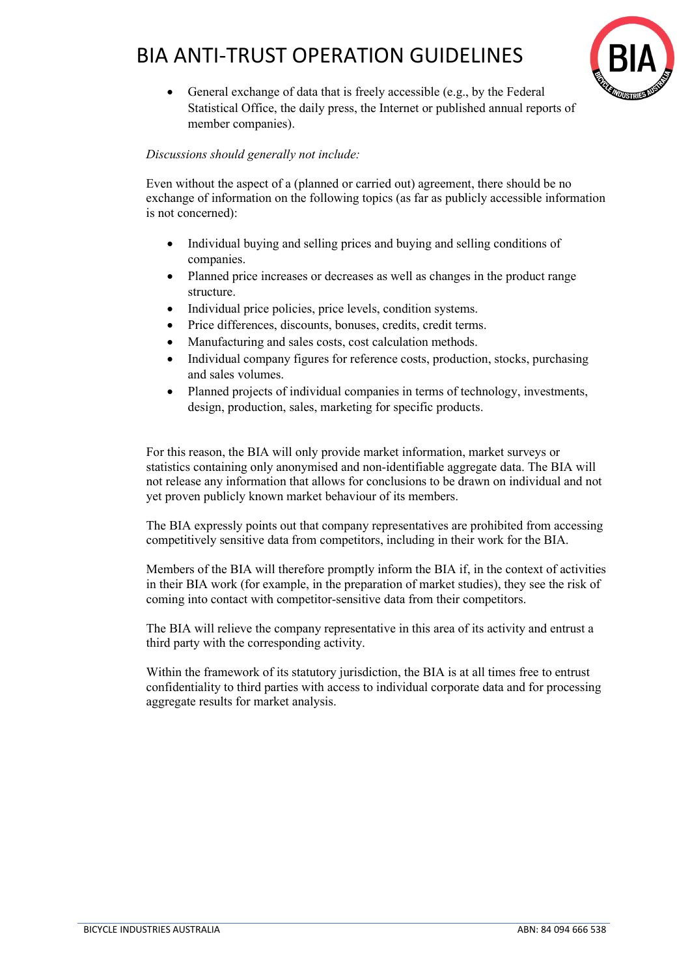

• General exchange of data that is freely accessible (e.g., by the Federal Statistical Office, the daily press, the Internet or published annual reports of member companies).

## *Discussions should generally not include:*

Even without the aspect of a (planned or carried out) agreement, there should be no exchange of information on the following topics (as far as publicly accessible information is not concerned):

- Individual buying and selling prices and buying and selling conditions of companies.
- Planned price increases or decreases as well as changes in the product range structure.
- Individual price policies, price levels, condition systems.
- Price differences, discounts, bonuses, credits, credit terms.
- Manufacturing and sales costs, cost calculation methods.
- Individual company figures for reference costs, production, stocks, purchasing and sales volumes.
- Planned projects of individual companies in terms of technology, investments, design, production, sales, marketing for specific products.

For this reason, the BIA will only provide market information, market surveys or statistics containing only anonymised and non-identifiable aggregate data. The BIA will not release any information that allows for conclusions to be drawn on individual and not yet proven publicly known market behaviour of its members.

The BIA expressly points out that company representatives are prohibited from accessing competitively sensitive data from competitors, including in their work for the BIA.

Members of the BIA will therefore promptly inform the BIA if, in the context of activities in their BIA work (for example, in the preparation of market studies), they see the risk of coming into contact with competitor-sensitive data from their competitors.

The BIA will relieve the company representative in this area of its activity and entrust a third party with the corresponding activity.

Within the framework of its statutory jurisdiction, the BIA is at all times free to entrust confidentiality to third parties with access to individual corporate data and for processing aggregate results for market analysis.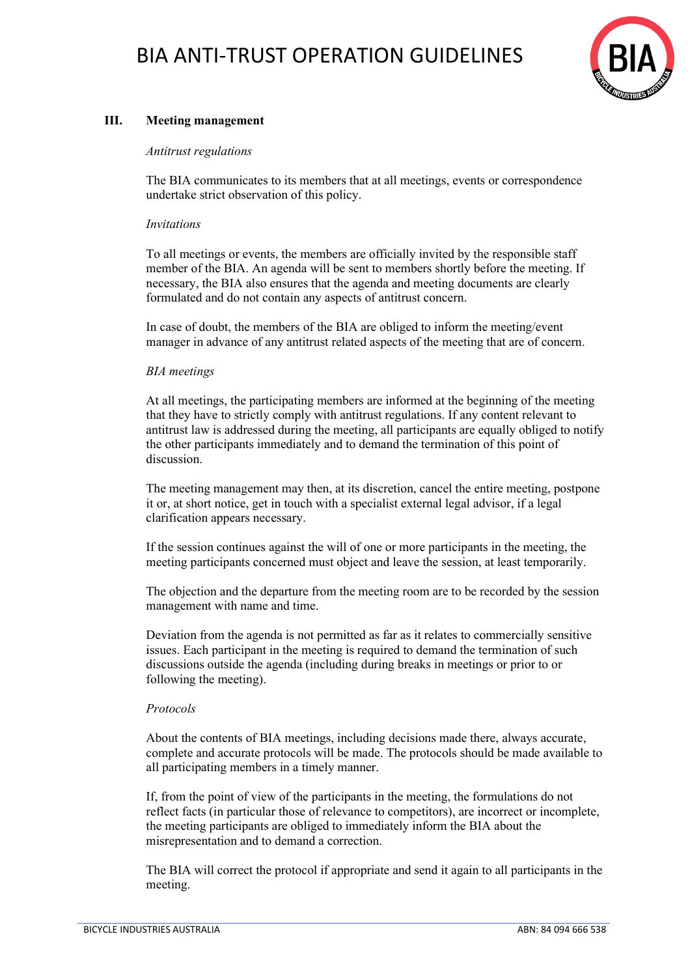

## **III. Meeting management**

#### *Antitrust regulations*

The BIA communicates to its members that at all meetings, events or correspondence undertake strict observation of this policy.

#### *Invitations*

To all meetings or events, the members are officially invited by the responsible staff member of the BIA. An agenda will be sent to members shortly before the meeting. If necessary, the BIA also ensures that the agenda and meeting documents are clearly formulated and do not contain any aspects of antitrust concern.

In case of doubt, the members of the BIA are obliged to inform the meeting/event manager in advance of any antitrust related aspects of the meeting that are of concern.

#### *BIA meetings*

At all meetings, the participating members are informed at the beginning of the meeting that they have to strictly comply with antitrust regulations. If any content relevant to antitrust law is addressed during the meeting, all participants are equally obliged to notify the other participants immediately and to demand the termination of this point of discussion.

The meeting management may then, at its discretion, cancel the entire meeting, postpone it or, at short notice, get in touch with a specialist external legal advisor, if a legal clarification appears necessary.

If the session continues against the will of one or more participants in the meeting, the meeting participants concerned must object and leave the session, at least temporarily.

The objection and the departure from the meeting room are to be recorded by the session management with name and time.

Deviation from the agenda is not permitted as far as it relates to commercially sensitive issues. Each participant in the meeting is required to demand the termination of such discussions outside the agenda (including during breaks in meetings or prior to or following the meeting).

#### *Protocols*

About the contents of BIA meetings, including decisions made there, always accurate, complete and accurate protocols will be made. The protocols should be made available to all participating members in a timely manner.

If, from the point of view of the participants in the meeting, the formulations do not reflect facts (in particular those of relevance to competitors), are incorrect or incomplete, the meeting participants are obliged to immediately inform the BIA about the misrepresentation and to demand a correction.

The BIA will correct the protocol if appropriate and send it again to all participants in the meeting.